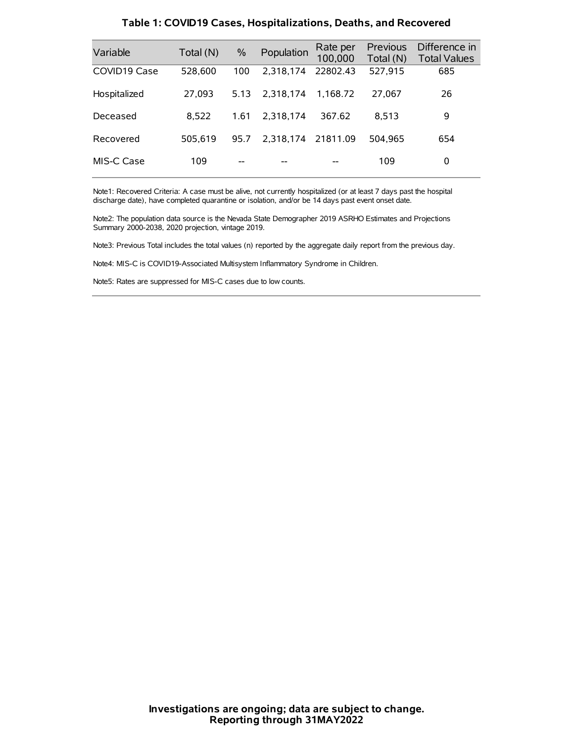| Variable     | Total (N) | $\frac{0}{0}$ | Population | Rate per<br>100,000 | Previous<br>Total (N) | Difference in<br><b>Total Values</b> |
|--------------|-----------|---------------|------------|---------------------|-----------------------|--------------------------------------|
| COVID19 Case | 528,600   | 100           | 2,318,174  | 22802.43            | 527,915               | 685                                  |
| Hospitalized | 27,093    | 5.13          | 2.318.174  | 1.168.72            | 27,067                | 26                                   |
| Deceased     | 8.522     | 1.61          | 2.318.174  | 367.62              | 8.513                 | 9                                    |
| Recovered    | 505.619   | 95.7          | 2.318.174  | 21811.09            | 504.965               | 654                                  |
| MIS-C Case   | 109       | --            |            |                     | 109                   | 0                                    |

#### **Table 1: COVID19 Cases, Hospitalizations, Deaths, and Recovered**

Note1: Recovered Criteria: A case must be alive, not currently hospitalized (or at least 7 days past the hospital discharge date), have completed quarantine or isolation, and/or be 14 days past event onset date.

Note2: The population data source is the Nevada State Demographer 2019 ASRHO Estimates and Projections Summary 2000-2038, 2020 projection, vintage 2019.

Note3: Previous Total includes the total values (n) reported by the aggregate daily report from the previous day.

Note4: MIS-C is COVID19-Associated Multisystem Inflammatory Syndrome in Children.

Note5: Rates are suppressed for MIS-C cases due to low counts.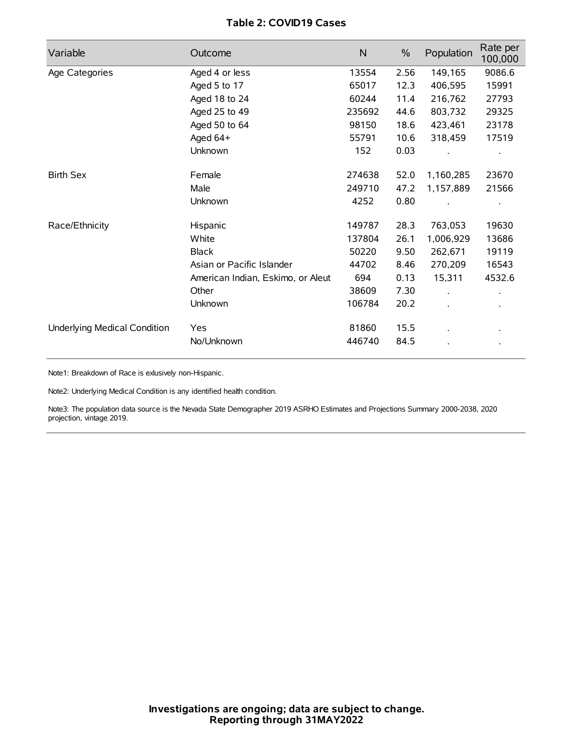# **Table 2: COVID19 Cases**

| Variable                     | Outcome                           | $\mathsf{N}$ | $\%$ | Population           | Rate per<br>100,000 |
|------------------------------|-----------------------------------|--------------|------|----------------------|---------------------|
| Age Categories               | Aged 4 or less                    | 13554        | 2.56 | 149,165              | 9086.6              |
|                              | Aged 5 to 17                      | 65017        | 12.3 | 406,595              | 15991               |
|                              | Aged 18 to 24                     | 60244        | 11.4 | 216,762              | 27793               |
|                              | Aged 25 to 49                     | 235692       | 44.6 | 803,732              | 29325               |
|                              | Aged 50 to 64                     | 98150        | 18.6 | 423,461              | 23178               |
|                              | Aged 64+                          | 55791        | 10.6 | 318,459              | 17519               |
|                              | Unknown                           | 152          | 0.03 |                      |                     |
| <b>Birth Sex</b>             | Female                            | 274638       | 52.0 | 1,160,285            | 23670               |
|                              | Male                              | 249710       | 47.2 | 1,157,889            | 21566               |
|                              | Unknown                           | 4252         | 0.80 |                      |                     |
| Race/Ethnicity               | Hispanic                          | 149787       | 28.3 | 763,053              | 19630               |
|                              | White                             | 137804       | 26.1 | 1,006,929            | 13686               |
|                              | <b>Black</b>                      | 50220        | 9.50 | 262,671              | 19119               |
|                              | Asian or Pacific Islander         | 44702        | 8.46 | 270,209              | 16543               |
|                              | American Indian, Eskimo, or Aleut | 694          | 0.13 | 15,311               | 4532.6              |
|                              | Other                             | 38609        | 7.30 | $\ddot{\phantom{0}}$ |                     |
|                              | Unknown                           | 106784       | 20.2 | ÷.                   |                     |
| Underlying Medical Condition | Yes                               | 81860        | 15.5 |                      |                     |
|                              | No/Unknown                        | 446740       | 84.5 |                      |                     |

Note1: Breakdown of Race is exlusively non-Hispanic.

Note2: Underlying Medical Condition is any identified health condition.

Note3: The population data source is the Nevada State Demographer 2019 ASRHO Estimates and Projections Summary 2000-2038, 2020 projection, vintage 2019.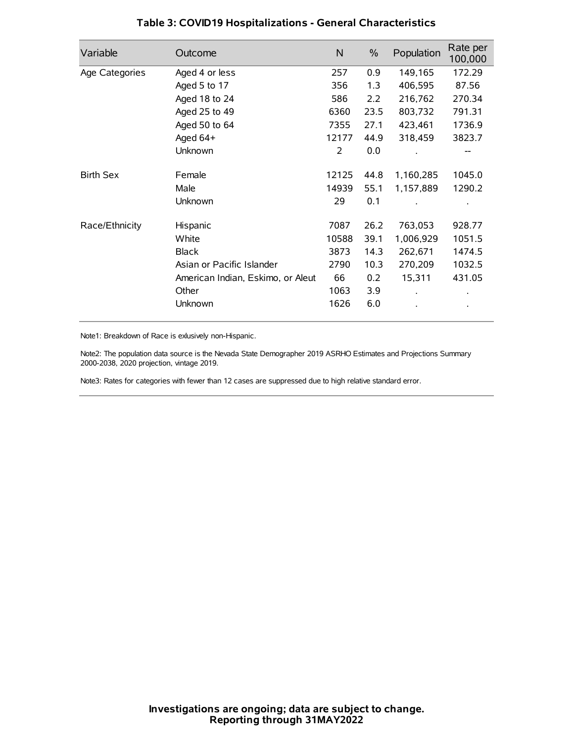| Variable         | Outcome                           | N     | $\%$ | Population | Rate per<br>100,000 |
|------------------|-----------------------------------|-------|------|------------|---------------------|
| Age Categories   | Aged 4 or less                    | 257   | 0.9  | 149,165    | 172.29              |
|                  | Aged 5 to 17                      | 356   | 1.3  | 406,595    | 87.56               |
|                  | Aged 18 to 24                     | 586   | 2.2  | 216,762    | 270.34              |
|                  | Aged 25 to 49                     | 6360  | 23.5 | 803,732    | 791.31              |
|                  | Aged 50 to 64                     | 7355  | 27.1 | 423,461    | 1736.9              |
|                  | Aged 64+                          | 12177 | 44.9 | 318,459    | 3823.7              |
|                  | Unknown                           | 2     | 0.0  |            |                     |
| <b>Birth Sex</b> | Female                            | 12125 | 44.8 | 1,160,285  | 1045.0              |
|                  | Male                              | 14939 | 55.1 | 1,157,889  | 1290.2              |
|                  | Unknown                           | 29    | 0.1  |            |                     |
| Race/Ethnicity   | Hispanic                          | 7087  | 26.2 | 763,053    | 928.77              |
|                  | White                             | 10588 | 39.1 | 1,006,929  | 1051.5              |
|                  | <b>Black</b>                      | 3873  | 14.3 | 262,671    | 1474.5              |
|                  | Asian or Pacific Islander         | 2790  | 10.3 | 270,209    | 1032.5              |
|                  | American Indian, Eskimo, or Aleut | 66    | 0.2  | 15,311     | 431.05              |
|                  | Other                             | 1063  | 3.9  |            |                     |
|                  | Unknown                           | 1626  | 6.0  |            |                     |

# **Table 3: COVID19 Hospitalizations - General Characteristics**

Note1: Breakdown of Race is exlusively non-Hispanic.

Note2: The population data source is the Nevada State Demographer 2019 ASRHO Estimates and Projections Summary 2000-2038, 2020 projection, vintage 2019.

Note3: Rates for categories with fewer than 12 cases are suppressed due to high relative standard error.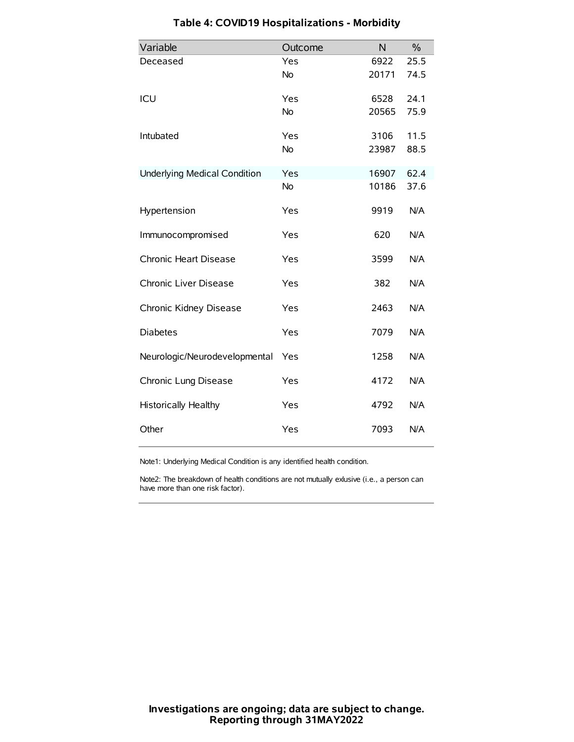| Variable                            | Outcome   | N     | $\%$ |
|-------------------------------------|-----------|-------|------|
| Deceased                            | Yes       | 6922  | 25.5 |
|                                     | <b>No</b> | 20171 | 74.5 |
| ICU                                 | Yes       | 6528  | 24.1 |
|                                     | <b>No</b> | 20565 | 75.9 |
| Intubated                           | Yes       | 3106  | 11.5 |
|                                     | <b>No</b> | 23987 | 88.5 |
| <b>Underlying Medical Condition</b> | Yes       | 16907 | 62.4 |
|                                     | No        | 10186 | 37.6 |
| Hypertension                        | Yes       | 9919  | N/A  |
| Immunocompromised                   | Yes       | 620   | N/A  |
| Chronic Heart Disease               | Yes       | 3599  | N/A  |
| Chronic Liver Disease               | Yes       | 382   | N/A  |
| Chronic Kidney Disease              | Yes       | 2463  | N/A  |
| <b>Diabetes</b>                     | Yes       | 7079  | N/A  |
| Neurologic/Neurodevelopmental       | Yes       | 1258  | N/A  |
| Chronic Lung Disease                | Yes       | 4172  | N/A  |
| <b>Historically Healthy</b>         | Yes       | 4792  | N/A  |
| Other                               | Yes       | 7093  | N/A  |

# **Table 4: COVID19 Hospitalizations - Morbidity**

Note1: Underlying Medical Condition is any identified health condition.

Note2: The breakdown of health conditions are not mutually exlusive (i.e., a person can have more than one risk factor).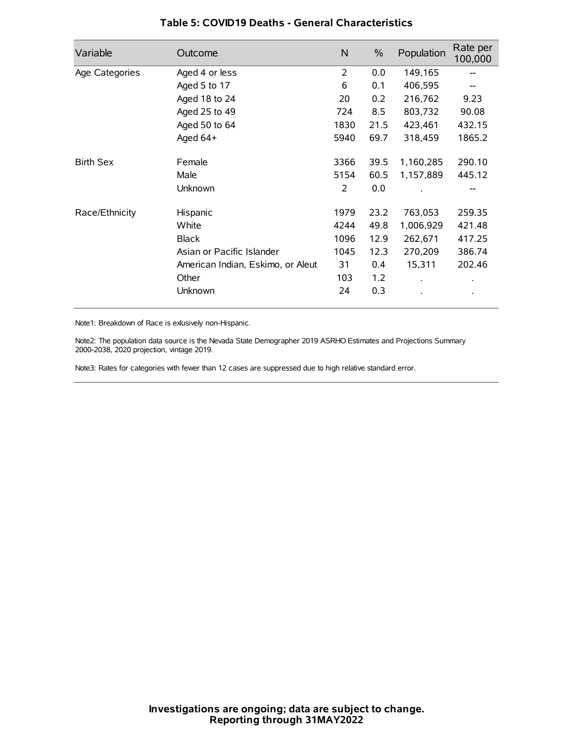| Variable         | Outcome                           | N              | $\%$ | Population           | Rate per<br>100,000 |
|------------------|-----------------------------------|----------------|------|----------------------|---------------------|
| Age Categories   | Aged 4 or less                    | $\overline{2}$ | 0.0  | 149,165              |                     |
|                  | Aged 5 to 17                      | 6              | 0.1  | 406,595              |                     |
|                  | Aged 18 to 24                     | 20             | 0.2  | 216,762              | 9.23                |
|                  | Aged 25 to 49                     | 724            | 8.5  | 803,732              | 90.08               |
|                  | Aged 50 to 64                     | 1830           | 21.5 | 423,461              | 432.15              |
|                  | Aged 64+                          | 5940           | 69.7 | 318,459              | 1865.2              |
| <b>Birth Sex</b> | Female                            | 3366           | 39.5 | 1,160,285            | 290.10              |
|                  | Male                              | 5154           | 60.5 | 1,157,889            | 445.12              |
|                  | Unknown                           | 2              | 0.0  |                      | --                  |
| Race/Ethnicity   | Hispanic                          | 1979           | 23.2 | 763,053              | 259.35              |
|                  | White                             | 4244           | 49.8 | 1,006,929            | 421.48              |
|                  | <b>Black</b>                      | 1096           | 12.9 | 262,671              | 417.25              |
|                  | Asian or Pacific Islander         | 1045           | 12.3 | 270,209              | 386.74              |
|                  | American Indian, Eskimo, or Aleut | 31             | 0.4  | 15,311               | 202.46              |
|                  | Other                             | 103            | 1.2  | $\ddot{\phantom{0}}$ | $\bullet$           |
|                  | Unknown                           | 24             | 0.3  |                      | $\bullet$           |

### **Table 5: COVID19 Deaths - General Characteristics**

Note1: Breakdown of Race is exlusively non-Hispanic.

Note2: The population data source is the Nevada State Demographer 2019 ASRHO Estimates and Projections Summary 2000-2038, 2020 projection, vintage 2019.

Note3: Rates for categories with fewer than 12 cases are suppressed due to high relative standard error.